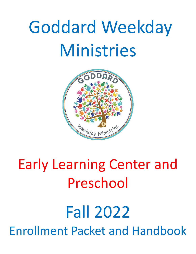

# Early Learning Center and Preschool

## Fall 2022 Enrollment Packet and Handbook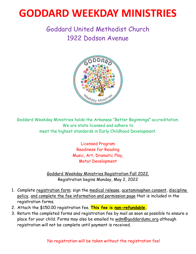## **GODDARD WEEKDAY MINISTRIES**

## Goddard United Methodist Church 1922 Dodson Avenue



Goddard Weekday Ministries holds the Arkansas "Better Beginnings" accreditation. We are state licensed and adhere to meet the highest standards in Early Childhood Development.

> Licensed Program Readiness for Reading Music, Art, Dramatic Play, Motor Development

Goddard Weekday Ministries Registration Fall 2022. Registration begins Monday, May 2, 2022

- 1. Complete registration form; sign the medical release, acetaminophen consent, discipline policy, and complete the fee information and permission page that is included in the registration forms.
- 2. Attach the \$150.00 registration fee. **This fee is non-refundable.**
- 3. Return the completed forms and registration fee by mail as soon as possible to ensure a place for your child. Forms may also be emailed to [wdm@goddardumc.org](mailto:wdm@goddardumc.org) although registration will not be complete until payment is received.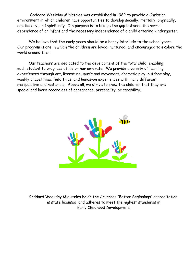Goddard Weekday Ministries was established in 1982 to provide a Christian environment in which children have opportunities to develop socially, mentally, physically, emotionally, and spiritually. Its purpose is to bridge the gap between the normal dependence of an infant and the necessary independence of a child entering kindergarten.

We believe that the early years should be a happy interlude to the school years. Our program is one in which the children are loved, nurtured, and encouraged to explore the world around them.

Our teachers are dedicated to the development of the total child, enabling each student to progress at his or her own rate. We provide a variety of learning experiences through art, literature, music and movement, dramatic play, outdoor play, weekly chapel time, field trips, and hands-on experiences with many different manipulative and materials. Above all, we strive to show the children that they are special and loved regardless of appearance, personality, or capability.



Goddard Weekday Ministries holds the Arkansas "Better Beginnings" accreditation, is state licensed, and adheres to meet the highest standards in Early Childhood Development.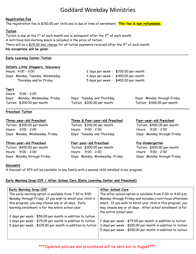\_\_\_\_\_\_\_\_\_\_\_\_\_\_\_\_\_\_\_\_\_\_\_\_\_\_\_\_\_\_\_\_\_\_\_\_\_\_\_\_\_\_\_\_\_\_\_\_\_\_\_\_\_\_\_\_\_\_\_\_\_\_\_\_\_\_\_\_\_\_\_\_\_\_\_\_\_\_\_\_\_\_\_\_\_\_\_\_\_\_\_

### **Registration Fee**

The registration fee is \$150.00 per child and is due at time of enrollment. **This fee is non-refundable.**

### **Tuition**

Tuition is due on the  $1<sup>st</sup>$  of each month and is delinguent after the  $5<sup>th</sup>$  of each month. A nutritious mid-morning snack is included in the price of tuition. There will be a \$25.00 late charge for all tuition payments received after the  $5<sup>th</sup>$  of each month. **No exceptions will be given.**

### **Early Learning Center Tuition**

#### **Infants**, **Little Steppers, Discovery**

| Hours: 9:00 - 2:00                | 2 days per week - \$200.00 per month |
|-----------------------------------|--------------------------------------|
| Days: Monday, Tuesday, Wednesday, | 3 days per week - \$300.00 per month |
| Thursday and/or Friday            | 5 days per week - \$400.00 per month |

#### **Two's**

| Hours: $9:00 - 2:00$            |                             |                             |
|---------------------------------|-----------------------------|-----------------------------|
| Days: Monday, Wednesday, Friday | Days: Tuesday and Thursday  | Days: Monday through Friday |
| Tuition: \$300.00 per month     | Tuition: \$200.00 per month | Tuition: \$400.00 per month |
|                                 |                             |                             |

### **Preschool Tuition**

#### **Three-year-old Preschool**

Tuition: \$300.00 per month Hours: 9:00 - 2:00 Days: Monday, Wednesday, Friday

### **Three-year-old Preschool**

Tuition: \$400.00 per month Hours: 9:00 - 2:00 Days: Monday through Friday

## **Three & Four-year-old Preschool**

Tuition: \$200.00 per month Hours: 9:00 - 2:00 Days: Tuesday and Thursday

## **Four-year-old Preschool**

Tuition: \$300.00 per month Hours: 9:00 - 2:00 Days: Monday, Wednesday, Friday

### **Four-year-old Preschool**

Tuition: \$400.00 per month Hours: 9:00 - 2:00 Days: Monday through Friday

### **Pre-Kindergarten**

Tuition: \$400.00 per month Hours: 9:00 - 2:00 Days: Monday through Friday

### **Discounts**

A discount of 15% will be available to any family with a second child enrolled in our program.

### **Early Morning Drop-Off / After School Care (Early Learning Center and Preschool)**

| <b>Early Morning Drop-Off</b>                                                                            | After School Care                                                                                                                                     |
|----------------------------------------------------------------------------------------------------------|-------------------------------------------------------------------------------------------------------------------------------------------------------|
| The early morning option is available from 7:30 to 9:00                                                  | The after-school option is available from 2:00 to 4:30 p.m.                                                                                           |
| Monday through Friday. If you wish to enroll your child in                                               | Monday through Friday and includes a nutritious afternoon                                                                                             |
| this program, you may choose any or all days. Early<br>morning enrollment is for the entire school year. | snack. If you wish to enroll your child in this program, you<br>may choose any or all days. After school enrollment is for<br>the entire school year. |
| 2 days per week - \$50.00 per month in addition to tuition                                               |                                                                                                                                                       |
| 3 days per week - \$75.00 per month in addition to tuition                                               | 2 days per week - \$75.00 per month in addition to tuition                                                                                            |
| 5 days per week - \$125.00 per month in addition to tuition                                              | 3 days per week - \$100.00 per month in addition to tuition                                                                                           |
|                                                                                                          | 5 days per week - \$150.00 per month in addition to tuition                                                                                           |

## \*\*\*Updated policies and procedures will be sent out in August\*\*\*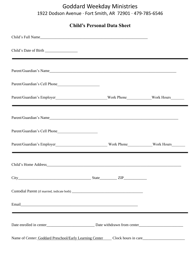## Goddard Weekday Ministries 1922 Dodson Avenue ∙ Fort Smith, AR 72901 ∙ 479-785-6546

**Child's Personal Data Sheet**

| <u> Andreas Andreas Andreas Andreas Andreas Andreas Andreas Andreas Andreas Andreas Andreas Andreas Andreas Andr</u>  |  |
|-----------------------------------------------------------------------------------------------------------------------|--|
|                                                                                                                       |  |
|                                                                                                                       |  |
| Parent/Guardian's Employer_____________________________Work Phone____________Work Hours____________                   |  |
|                                                                                                                       |  |
|                                                                                                                       |  |
| <u>a sa mga banda na mga banda na mga banda na mga banda na mga banda na mga banda na mga banda na mga banda na m</u> |  |
|                                                                                                                       |  |
|                                                                                                                       |  |
|                                                                                                                       |  |
| the contract of the contract of the contract of the contract of the contract of the contract of the                   |  |
|                                                                                                                       |  |
| Name of Center: Goddard Preschool/Early Learning Center Clock hours in care                                           |  |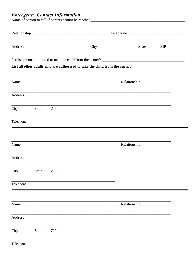## **Emergency Contact Information**

|                |              |            | List all other adults who are authorized to take the child from the center:       |  |              |  |
|----------------|--------------|------------|-----------------------------------------------------------------------------------|--|--------------|--|
| Name           |              |            |                                                                                   |  | Relationship |  |
| <b>Address</b> |              |            |                                                                                   |  |              |  |
| City           | State        | <b>ZIP</b> | ,我们也不能在这里的时候,我们也不能在这里的时候,我们也不能会在这里的时候,我们也不能会在这里的时候,我们也不能会在这里的时候,我们也不能会在这里的时候,我们也  |  |              |  |
| Telephone      |              |            |                                                                                   |  |              |  |
| Name           |              |            |                                                                                   |  | Relationship |  |
| Address        |              |            | ,我们也不能在这里的时候,我们也不能在这里的时候,我们也不能会在这里的时候,我们也不能会在这里的时候,我们也不能会在这里的时候,我们也不能会在这里的时候,我们也不 |  |              |  |
| City           | <b>State</b> | <b>ZIP</b> |                                                                                   |  |              |  |
| Telephone      |              |            |                                                                                   |  |              |  |
| Name           |              |            |                                                                                   |  | Relationship |  |
| <b>Address</b> |              |            |                                                                                   |  |              |  |
| City           | <b>State</b> | <b>ZIP</b> |                                                                                   |  |              |  |
|                |              |            |                                                                                   |  |              |  |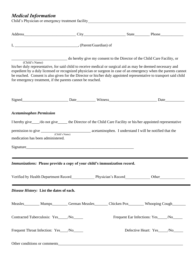## *Medical Information*

Child's Physician or emergency treatment facility\_\_\_\_\_\_\_\_\_\_\_\_\_\_\_\_\_\_\_\_\_\_\_\_\_\_\_\_\_\_\_\_

| Address Phone Phone Phone Phone Phone Phone Phone Phone Phone Phone Phone Phone Phone Phone Phone Phone Phone Phone Phone Phone Phone Phone Phone Phone Phone Phone Phone Phone Phone Phone Phone Phone Phone Phone Phone Phon                                                                                                                                                                                                          |                                                                          |  |                                           |  |
|-----------------------------------------------------------------------------------------------------------------------------------------------------------------------------------------------------------------------------------------------------------------------------------------------------------------------------------------------------------------------------------------------------------------------------------------|--------------------------------------------------------------------------|--|-------------------------------------------|--|
|                                                                                                                                                                                                                                                                                                                                                                                                                                         |                                                                          |  |                                           |  |
| (Child's Name)<br>his/her duly representative, for said child to receive medical or surgical aid as may be deemed necessary and<br>expedient by a duly licensed or recognized physician or surgeon in case of an emergency when the parents cannot<br>be reached. Consent is also given for the Director or his/her duly appointed representative to transport said child<br>for emergency treatment, if the parents cannot be reached. | do hereby give my consent to the Director of the Child Care Facility, or |  |                                           |  |
|                                                                                                                                                                                                                                                                                                                                                                                                                                         |                                                                          |  |                                           |  |
| <b>Acetaminophen Permission</b>                                                                                                                                                                                                                                                                                                                                                                                                         |                                                                          |  |                                           |  |
| I hereby give___/do not give_____ the Director of the Child Care Facility or his/her appointed representative                                                                                                                                                                                                                                                                                                                           |                                                                          |  |                                           |  |
|                                                                                                                                                                                                                                                                                                                                                                                                                                         |                                                                          |  |                                           |  |
| medication has been administered.                                                                                                                                                                                                                                                                                                                                                                                                       |                                                                          |  |                                           |  |
|                                                                                                                                                                                                                                                                                                                                                                                                                                         |                                                                          |  |                                           |  |
| <i>Immunizations:</i> Please provide a copy of your child's immunization record.                                                                                                                                                                                                                                                                                                                                                        |                                                                          |  |                                           |  |
|                                                                                                                                                                                                                                                                                                                                                                                                                                         |                                                                          |  |                                           |  |
| Disease History: List the dates of each.                                                                                                                                                                                                                                                                                                                                                                                                |                                                                          |  |                                           |  |
| Measles Mumps German Measles Chicken Pox Whooping Cough                                                                                                                                                                                                                                                                                                                                                                                 |                                                                          |  |                                           |  |
| Contracted Tuberculosis: Yes____/No_____                                                                                                                                                                                                                                                                                                                                                                                                |                                                                          |  | Frequent Ear Infections: Yes_____/No_____ |  |
| Frequent Throat Infection: Yes___/No_____                                                                                                                                                                                                                                                                                                                                                                                               |                                                                          |  | Defective Heart: Yes____/No____           |  |
|                                                                                                                                                                                                                                                                                                                                                                                                                                         |                                                                          |  |                                           |  |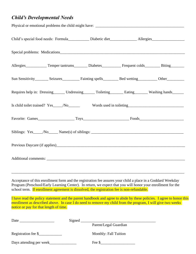## *Child's Developmental Needs*

|  |                                                                                   | Child's special food needs: Formula____________ Diabetic diet_______________ Allergies______________              |
|--|-----------------------------------------------------------------------------------|-------------------------------------------------------------------------------------------------------------------|
|  |                                                                                   |                                                                                                                   |
|  |                                                                                   | Allergies Temper tantrums Diabetes Frequent colds Biting                                                          |
|  |                                                                                   | Sun Sensitivity__________ Seizures_____________ Fainting spells___________ Bed wetting___________ Other__________ |
|  |                                                                                   | Requires help in: Dressing_______ Undressing_______ Toileting________ Eating________ Washing hands_______         |
|  |                                                                                   |                                                                                                                   |
|  |                                                                                   |                                                                                                                   |
|  | Siblings: Yes____/No_____ Name(s) of siblings: __________________________________ |                                                                                                                   |
|  |                                                                                   |                                                                                                                   |
|  |                                                                                   |                                                                                                                   |
|  |                                                                                   |                                                                                                                   |

Acceptance of this enrollment form and the registration fee assures your child a place in a Goddard Weekday Program (Preschool/Early Learning Center). In return, we expect that you will honor your enrollment for the school term. If enrollment agreement is dissolved, the registration fee is non-refundable.

\_\_\_\_\_\_\_\_\_\_\_\_\_\_\_\_\_\_\_\_\_\_\_\_\_\_\_\_\_\_\_\_\_\_\_\_\_\_\_\_\_\_\_\_\_\_\_\_\_\_\_\_\_\_\_\_\_\_\_\_\_\_\_\_\_\_\_\_\_\_\_\_\_\_\_\_\_\_\_\_\_\_\_\_\_\_\_\_\_\_

I have read the policy statement and the parent handbook and agree to abide by these policies. I agree to honor this enrollment as described above. In case I do need to remove my child from the program, I will give two weeks notice or pay for that length of time.

| Date                    | Signed |                              |
|-------------------------|--------|------------------------------|
|                         |        | Parent/Legal Guardian        |
| Registration fee \$     |        | <b>Monthly: Fall Tuition</b> |
| Days attending per week |        | Fee \$                       |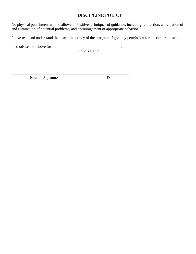## **DISCIPLINE POLICY**

No physical punishment will be allowed. Positive techniques of guidance, including redirection, anticipation of and elimination of potential problems, and encouragement of appropriate behavior.

I have read and understand the discipline policy of the program. I give my permission for the center to use all

methods set out above for \_\_\_\_\_\_\_\_\_\_\_\_\_\_\_\_\_\_\_\_\_\_\_\_\_\_\_\_\_\_\_\_\_\_\_\_.

Child's Name

\_\_\_\_\_\_\_\_\_\_\_\_\_\_\_\_\_\_\_\_\_\_\_\_\_\_\_\_\_\_\_\_\_\_\_\_\_\_\_\_\_\_\_\_\_\_\_\_\_\_\_\_\_\_\_\_\_\_\_\_\_

Parent's Signature Date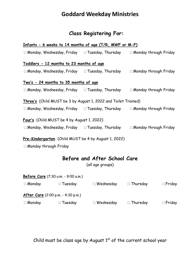## **Class Registering For:**

| Infants - 6 weeks to 14 months of age (T/R, MWF or M-F)                                |                              |
|----------------------------------------------------------------------------------------|------------------------------|
| $\Box$ Monday, Wednesday, Friday $\Box$ Tuesday, Thursday $\Box$ Monday through Friday |                              |
| Toddlers - 12 months to 23 months of age                                               |                              |
| $\Box$ Monday, Wednesday, Friday $\Box$ Tuesday, Thursday                              | $\Box$ Monday through Friday |
| <u>Two's - 24 months to 35 months of age</u>                                           |                              |
| $\Box$ Monday, Wednesday, Friday $\Box$ Tuesday, Thursday                              | $\Box$ Monday through Friday |
| Three's (Child MUST be 3 by August 1, 2022 and Toilet Trained)                         |                              |
| $\Box$ Monday, Wednesday, Friday $\Box$ Tuesday, Thursday $\Box$ Monday through Friday |                              |
| Four's (Child MUST be 4 by August 1, 2022)                                             |                              |
| $\Box$ Monday, Wednesday, Friday $\Box$ Tuesday, Thursday                              | $\Box$ Monday through Friday |
| Pre-Kindergarten (Child MUST be 4 by August 1, 2022)                                   |                              |

□Monday through Friday

## **Before and After School Care**

(all age groups)

|               | Before Care (7:30 a.m. - 9:00 a.m.)       |                  |                 |               |
|---------------|-------------------------------------------|------------------|-----------------|---------------|
| $\Box$ Monday | $\Box$ Tuesday                            | $\Box$ Wednesday | $\Box$ Thursday | $\Box$ Friday |
|               | <b>After Care</b> (2:00 p.m. - 4:30 p.m.) |                  |                 |               |
| $\Box$ Monday | $\Box$ Tuesday                            | $\Box$ Wednesday | $\Box$ Thursday | $\Box$ Friday |

Child must be class age by August  $1^{st}$  of the current school year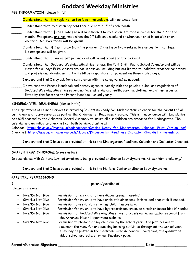| <b>FEE INFORMATION</b> (please initial) |  |  |  |  |  |  |
|-----------------------------------------|--|--|--|--|--|--|
|-----------------------------------------|--|--|--|--|--|--|

| I understand that the registration fee is non-refundable, with no exceptions.                                                                                                                                                                                                                                             |
|---------------------------------------------------------------------------------------------------------------------------------------------------------------------------------------------------------------------------------------------------------------------------------------------------------------------------|
| I understand that my tuition payments are due on the $1st$ of each month.                                                                                                                                                                                                                                                 |
| I understand that a \$25.00 late fee will be assessed to my tuition if tuition is paid after the 5 <sup>th</sup> of the<br>month. Exceptions are not made when the 5 <sup>th</sup> falls on a weekend or when your child is out sick or on<br>vacation. No exceptions will be given!                                      |
| I understand that if I withdraw from the program, I must give two weeks notice or pay for that time.<br>No exceptions will be given.                                                                                                                                                                                      |
| I understand that a fine of \$15 per incident will be enforced for late pick-ups.                                                                                                                                                                                                                                         |
| I understand that Goddard Weekday Ministries follows the Fort Smith Public School Calendar and will be<br>closed for all days FSPS classes are not in session, including but not limited to, holidays, weather conditions,<br>and professional development. I will still be responsible for payment on those closed days. |
| I understand that I may ask for a conference with the caregiver(s) as needed.                                                                                                                                                                                                                                             |
| I have read the Parent Handbook and hereby agree to comply with the policies, rules, and regulations of<br>Goddard Weekday Ministries regarding fees, attendance, health, parking, clothing, and other issues as<br>listed by this form and the Parent Handbook issued yearly.                                            |

## **KINDERGARTEN READINESS** (please initial)

The Department of Human Services is providing "A Getting Ready for Kindergarten" calendar for the parents of all our three- and four-year-olds as part of the Kindergarten Readiness Program. This is in accordance with Legislative Act 825 enacted by the Arkansas General Assembly to insure all our children are prepared for kindergarten. The calendar and an indicator check list can both be viewed online at:

Calendar: [http://hs.ar.gov/images/uploads/dccece/Getting\\_Ready\\_for\\_Kindergarten\\_Calendar.\\_Print\\_Version\\_.pdf](http://hs.ar.gov/images/uploads/dccece/Getting_Ready_for_Kindergarten_Calendar._Print_Version_.pdf) Check list: [http://hs.ar.gov/images/uploads/dccece/Kindergarten\\_Readiness\\_Indicator\\_Checklist\\_-\\_Parents.pdf](http://hs.ar.gov/images/uploads/dccece/Kindergarten_Readiness_Indicator_Checklist_-_Parents.pdf)

\_\_\_\_\_ I understand that I have been provided at link to the Kindergarten Readiness Calendar and Indicator Checklist.

## **SHAKEN BABY SYNDROME** (please initial)

In accordance with Carter's Law, information is being provided on Shaken Baby Syndrome. https://dontshake.org/

\_\_\_\_\_ I understand that I have been provided at link to the National Center on Shaken Baby Syndrome.

## **PARENTAL PERMISSIONS**

|           |                     | parent/guardian of                                                                                                                                                                                                                                                                                            |
|-----------|---------------------|---------------------------------------------------------------------------------------------------------------------------------------------------------------------------------------------------------------------------------------------------------------------------------------------------------------|
|           | (please circle one) |                                                                                                                                                                                                                                                                                                               |
| $\bullet$ | Give/Do Not Give    | Permission for my child to have diaper cream if needed.                                                                                                                                                                                                                                                       |
| ٠         | Give/Do Not Give    | Permission for my child to have antibiotic ointments, lotions, and chapstick if needed.                                                                                                                                                                                                                       |
| $\bullet$ | Give/Do Not Give    | Permission to use sunscreen on my child if necessary.                                                                                                                                                                                                                                                         |
| $\bullet$ | Give/Do Not Give    | Permission for my child to have hydrocortisone cream on a rash or insect bite if needed.                                                                                                                                                                                                                      |
| ٠         | Give/Do Not Give    | Permission for Goddard Weekday Ministries to access our immunization records from<br>the Arkansas Heath Department website.                                                                                                                                                                                   |
|           | Give/Do Not Give    | Permission to photograph my child during the school year. The pictures are to<br>document the many fun and exciting learning activities throughout the school year.<br>They may be posted in the classroom, used in individual portfolios, the graduation<br>video, school projects, or on our Facebook page. |

## **Parent/Guardian Signature \_\_\_\_\_\_\_\_\_\_\_\_\_\_\_\_\_\_\_\_\_\_\_\_\_\_\_\_\_\_\_\_\_\_\_\_\_\_\_ Date \_\_\_\_\_\_\_\_\_\_\_\_\_\_**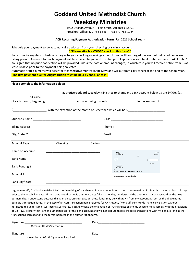## **Goddard United Methodist Church Weekday Ministries**

1922 Dodson Avenue - Fort Smith, Arkansas 72901 Preschool Office 479-782-6546 - Fax 479-785-1124

#### **ACH Recurring Payment Authorization Form (Fall 2022 School Year)**

Schedule your payment to be automatically deducted from your checking or savings account.

#### **\*\*Please attach a VOIDED check to this form\*\***

You authorize regularly scheduled charges to your checking or savings account. You will be charged the amount indicated below each billing period. A receipt for each payment will be emailed to you and the charge will appear on your bank statement as an "ACH Debit". You agree that no prior notification will be provided unless the date or amount changes, in which case you will receive notice from us at least 10 days prior to the payment being collected.

Automatic draft payments will occur for 9 consecutive months (Sept-May) and will automatically cancel at the end of the school year. **(The first payment due for August tuition must be paid by check or cash)**

#### **Please complete the information below:**

|                  |                  | authorize Goddard Weekday Ministries to charge my bank account below on the 1st Monday |
|------------------|------------------|----------------------------------------------------------------------------------------|
| (full name)      |                  |                                                                                        |
|                  |                  |                                                                                        |
|                  |                  |                                                                                        |
|                  |                  |                                                                                        |
|                  |                  |                                                                                        |
| Account Type     | Checking Savings |                                                                                        |
| Name on Account  |                  | NAME<br>0123<br>ADORESS<br>CITY, STATE ZIP<br>01-2345/6789<br>DATE                     |
| <b>Bank Name</b> |                  | <b>PAY TO THE</b><br>ORDER OF<br>DOLLARS                                               |
| Bank Routing #   |                  | <b>BANK NAME</b><br>ADDRESS<br>CITY STATE ZIP<br>COL2345678C 0123456789D123P 0123      |
| Account #        |                  | Routing Number Account Number                                                          |
| Bank City/State  |                  |                                                                                        |

I agree to notify Goddard Weekday Ministries in writing of any changes in my account information or termination of this authorization at least 15 days prior to the next billing date. If the above noted periodic payment dates fall on a holiday, I understand the payment may be executed on the next business day. I understand because this is an electronic transaction, these funds may be withdrawn from my account as soon as the above noted periodic transaction dates. In the case of an ACH transaction being rejected for ANY reason, (Non-Sufficient Funds (NSF), cancellation without notification), I understand I will incur a \$25 charge. I acknowledge the origination of ACH transactions to my account must comply with the provisions of U.S. law. I certify that I am an authorized user of this bank account and will not dispute these scheduled transactions with my bank so long as the transactions correspond to the terms indicated in this authorization form.

| Signature |                                          | Date |  |
|-----------|------------------------------------------|------|--|
|           | (Account Holder's Signature)             |      |  |
| Signature |                                          | Date |  |
|           | (Joint Account-Both Signatures Required) |      |  |